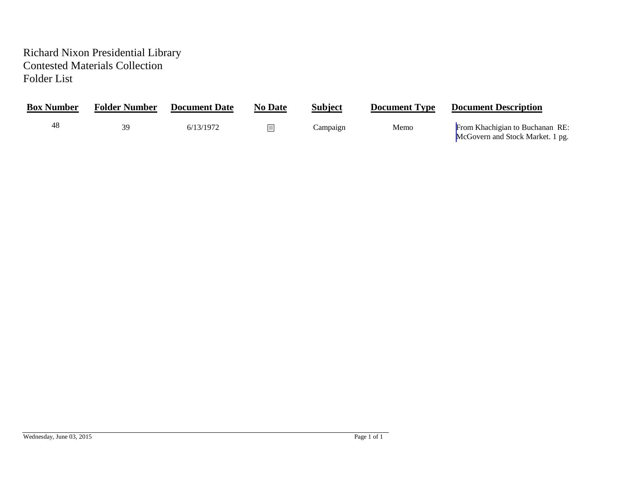## Richard Nixon Presidential Library Contested Materials Collection Folder List

| <b>Box Number</b> | <b>Folder Number</b> | <b>Document Date</b> | <b>No Date</b> | <b>Subject</b> | <b>Document Type</b> | <b>Document Description</b>                                         |
|-------------------|----------------------|----------------------|----------------|----------------|----------------------|---------------------------------------------------------------------|
| 48                |                      | 6/13/1972            |                | Campaign       | Memo                 | From Khachigian to Buchanan RE:<br>McGovern and Stock Market. 1 pg. |